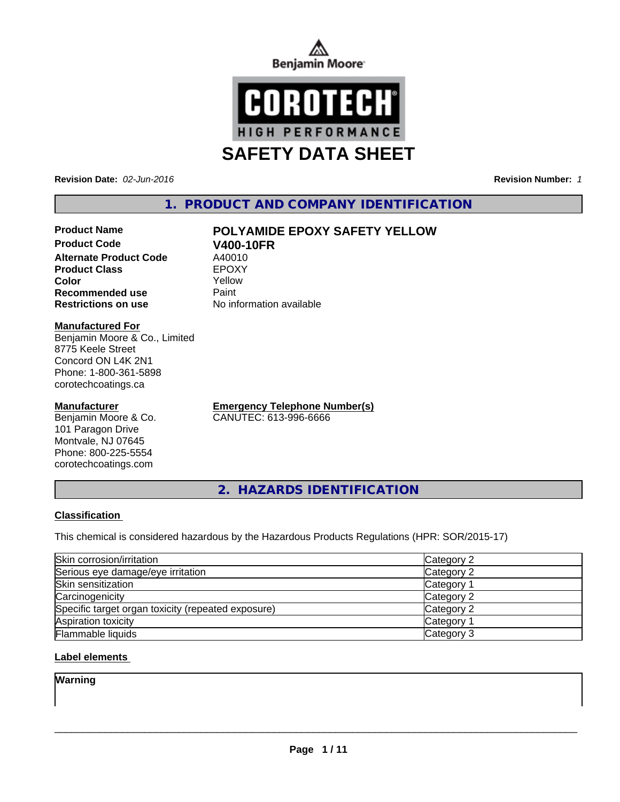



**Revision Date:** *02-Jun-2016* **Revision Number:** *1*

# **1. PRODUCT AND COMPANY IDENTIFICATION**

# **Product Name POLYAMIDE EPOXY SAFETY YELLOW**

**Product Code V400-10FR**<br> **Alternate Product Code** A40010 **Alternate Product Code** A40010<br> **Product Class** EPOXY **Product Class**<br> **Color**<br>
Color<br>
Color **Color** Yellow **Recommended use Paint Restrictions on use** No information available

#### **Manufactured For**

Benjamin Moore & Co., Limited 8775 Keele Street Concord ON L4K 2N1 Phone: 1-800-361-5898 corotechcoatings.ca

### **Manufacturer**

Benjamin Moore & Co. 101 Paragon Drive Montvale, NJ 07645 Phone: 800-225-5554 corotechcoatings.com

**Emergency Telephone Number(s)** CANUTEC: 613-996-6666

**2. HAZARDS IDENTIFICATION**

## **Classification**

This chemical is considered hazardous by the Hazardous Products Regulations (HPR: SOR/2015-17)

| Skin corrosion/irritation                          | Category 2            |
|----------------------------------------------------|-----------------------|
| Serious eye damage/eye irritation                  | Category 2            |
| Skin sensitization                                 | Category <sup>2</sup> |
| Carcinogenicity                                    | Category 2            |
| Specific target organ toxicity (repeated exposure) | Category 2            |
| Aspiration toxicity                                | <b>Category 1</b>     |
| Flammable liquids                                  | Category 3            |

## **Label elements**

**Warning**

 $\overline{\phantom{a}}$  ,  $\overline{\phantom{a}}$  ,  $\overline{\phantom{a}}$  ,  $\overline{\phantom{a}}$  ,  $\overline{\phantom{a}}$  ,  $\overline{\phantom{a}}$  ,  $\overline{\phantom{a}}$  ,  $\overline{\phantom{a}}$  ,  $\overline{\phantom{a}}$  ,  $\overline{\phantom{a}}$  ,  $\overline{\phantom{a}}$  ,  $\overline{\phantom{a}}$  ,  $\overline{\phantom{a}}$  ,  $\overline{\phantom{a}}$  ,  $\overline{\phantom{a}}$  ,  $\overline{\phantom{a}}$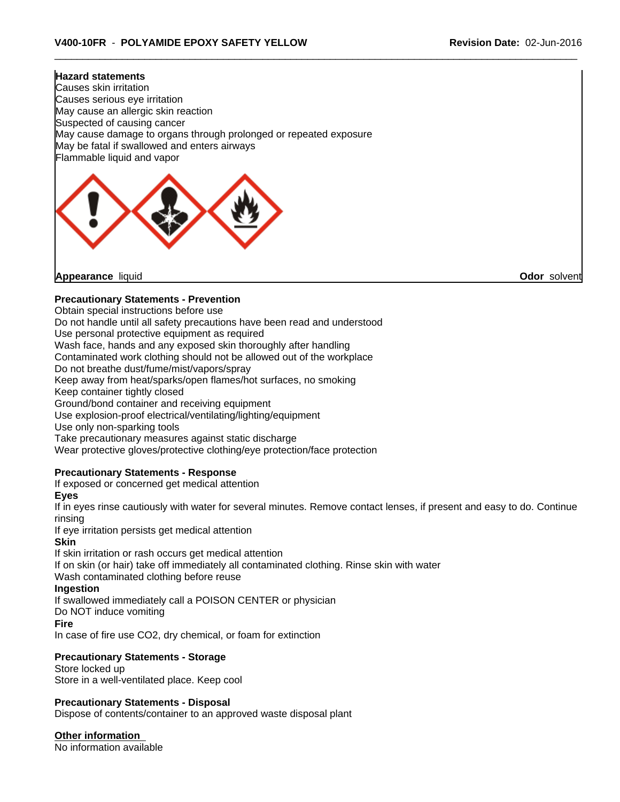#### **Hazard statements**

Causes skin irritation Causes serious eye irritation May cause an allergic skin reaction Suspected of causing cancer May cause damage to organs through prolonged or repeated exposure May be fatal if swallowed and enters airways Flammable liquid and vapor



**Appearance** liquid **Odor** solvent

## **Precautionary Statements - Prevention**

Obtain special instructions before use

Do not handle until all safety precautions have been read and understood

Use personal protective equipment as required

Wash face, hands and any exposed skin thoroughly after handling

Contaminated work clothing should not be allowed out of the workplace

Do not breathe dust/fume/mist/vapors/spray

Keep away from heat/sparks/open flames/hot surfaces, no smoking

Keep container tightly closed

Ground/bond container and receiving equipment

Use explosion-proof electrical/ventilating/lighting/equipment

Use only non-sparking tools

Take precautionary measures against static discharge

Wear protective gloves/protective clothing/eye protection/face protection

## **Precautionary Statements - Response**

If exposed or concerned get medical attention

**Eyes**

If in eyes rinse cautiously with water for several minutes. Remove contact lenses, if present and easy to do. Continue rinsing

If eye irritation persists get medical attention

#### **Skin**

If skin irritation or rash occurs get medical attention If on skin (or hair) take off immediately all contaminated clothing. Rinse skin with water Wash contaminated clothing before reuse

# **Ingestion**

If swallowed immediately call a POISON CENTER or physician

Do NOT induce vomiting

#### **Fire**

In case of fire use CO2, dry chemical, or foam for extinction

## **Precautionary Statements - Storage**

Store locked up Store in a well-ventilated place. Keep cool

#### **Precautionary Statements - Disposal**

Dispose of contents/container to an approved waste disposal plant

**Other information**

No information available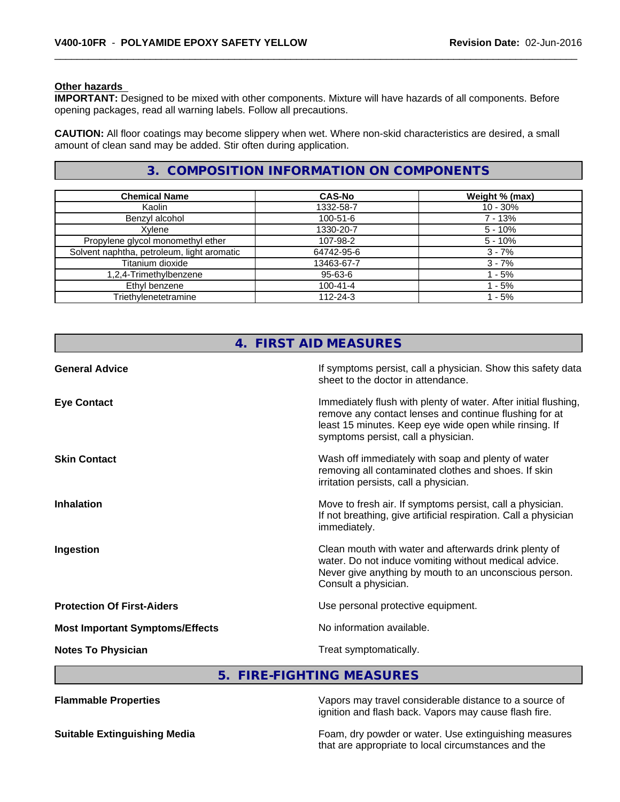#### **Other hazards**

**IMPORTANT:** Designed to be mixed with other components. Mixture will have hazards of all components. Before opening packages, read all warning labels. Follow all precautions.

**CAUTION:** All floor coatings may become slippery when wet. Where non-skid characteristics are desired, a small amount of clean sand may be added. Stir often during application.

# **3. COMPOSITION INFORMATION ON COMPONENTS**

| <b>Chemical Name</b>                       | <b>CAS-No</b>  | Weight % (max) |
|--------------------------------------------|----------------|----------------|
| Kaolin                                     | 1332-58-7      | $10 - 30%$     |
| Benzyl alcohol                             | 100-51-6       | $7 - 13%$      |
| Xvlene                                     | 1330-20-7      | $5 - 10%$      |
| Propylene glycol monomethyl ether          | 107-98-2       | $5 - 10%$      |
| Solvent naphtha, petroleum, light aromatic | 64742-95-6     | $3 - 7%$       |
| Titanium dioxide                           | 13463-67-7     | $3 - 7%$       |
| 1,2,4-Trimethylbenzene                     | $95 - 63 - 6$  | - 5%           |
| Ethyl benzene                              | $100 - 41 - 4$ | - 5%           |
| Triethylenetetramine                       | $112 - 24 - 3$ | - 5%           |

|                                        | 4. FIRST AID MEASURES                                                                                                                                                                                                      |
|----------------------------------------|----------------------------------------------------------------------------------------------------------------------------------------------------------------------------------------------------------------------------|
| <b>General Advice</b>                  | If symptoms persist, call a physician. Show this safety data<br>sheet to the doctor in attendance.                                                                                                                         |
| <b>Eye Contact</b>                     | Immediately flush with plenty of water. After initial flushing,<br>remove any contact lenses and continue flushing for at<br>least 15 minutes. Keep eye wide open while rinsing. If<br>symptoms persist, call a physician. |
| <b>Skin Contact</b>                    | Wash off immediately with soap and plenty of water<br>removing all contaminated clothes and shoes. If skin<br>irritation persists, call a physician.                                                                       |
| <b>Inhalation</b>                      | Move to fresh air. If symptoms persist, call a physician.<br>If not breathing, give artificial respiration. Call a physician<br>immediately.                                                                               |
| Ingestion                              | Clean mouth with water and afterwards drink plenty of<br>water. Do not induce vomiting without medical advice.<br>Never give anything by mouth to an unconscious person.<br>Consult a physician.                           |
| <b>Protection Of First-Aiders</b>      | Use personal protective equipment.                                                                                                                                                                                         |
| <b>Most Important Symptoms/Effects</b> | No information available.                                                                                                                                                                                                  |
| <b>Notes To Physician</b>              | Treat symptomatically.                                                                                                                                                                                                     |

**5. FIRE-FIGHTING MEASURES**

| <b>Flammable Properties</b>         | Vapors may travel considerable distance to a source of<br>ignition and flash back. Vapors may cause flash fire. |
|-------------------------------------|-----------------------------------------------------------------------------------------------------------------|
| <b>Suitable Extinguishing Media</b> | Foam, dry powder or water. Use extinguishing measures<br>that are appropriate to local circumstances and the    |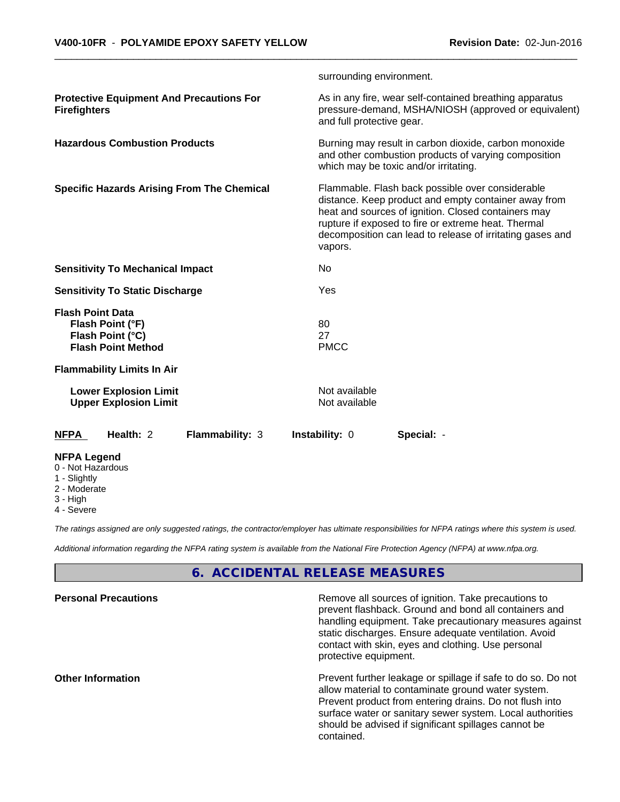|                                                                                              | surrounding environment.       |                                                                                                                                                                                                                                                                                     |
|----------------------------------------------------------------------------------------------|--------------------------------|-------------------------------------------------------------------------------------------------------------------------------------------------------------------------------------------------------------------------------------------------------------------------------------|
| <b>Protective Equipment And Precautions For</b><br><b>Firefighters</b>                       | and full protective gear.      | As in any fire, wear self-contained breathing apparatus<br>pressure-demand, MSHA/NIOSH (approved or equivalent)                                                                                                                                                                     |
| <b>Hazardous Combustion Products</b>                                                         |                                | Burning may result in carbon dioxide, carbon monoxide<br>and other combustion products of varying composition<br>which may be toxic and/or irritating.                                                                                                                              |
| <b>Specific Hazards Arising From The Chemical</b>                                            | vapors.                        | Flammable. Flash back possible over considerable<br>distance. Keep product and empty container away from<br>heat and sources of ignition. Closed containers may<br>rupture if exposed to fire or extreme heat. Thermal<br>decomposition can lead to release of irritating gases and |
| <b>Sensitivity To Mechanical Impact</b>                                                      | No                             |                                                                                                                                                                                                                                                                                     |
| <b>Sensitivity To Static Discharge</b>                                                       | Yes                            |                                                                                                                                                                                                                                                                                     |
| <b>Flash Point Data</b><br>Flash Point (°F)<br>Flash Point (°C)<br><b>Flash Point Method</b> | 80<br>27<br><b>PMCC</b>        |                                                                                                                                                                                                                                                                                     |
| <b>Flammability Limits In Air</b>                                                            |                                |                                                                                                                                                                                                                                                                                     |
| <b>Lower Explosion Limit</b><br><b>Upper Explosion Limit</b>                                 | Not available<br>Not available |                                                                                                                                                                                                                                                                                     |
| Health: 2<br>Flammability: 3<br><b>NFPA</b>                                                  | Instability: 0                 | Special: -                                                                                                                                                                                                                                                                          |
| <b>NFPA Legend</b><br>0 - Not Hazardous                                                      |                                |                                                                                                                                                                                                                                                                                     |

- 1 Slightly
- 2 Moderate
- 3 High
- 4 Severe

*The ratings assigned are only suggested ratings, the contractor/employer has ultimate responsibilities for NFPA ratings where this system is used.*

*Additional information regarding the NFPA rating system is available from the National Fire Protection Agency (NFPA) at www.nfpa.org.*

# **6. ACCIDENTAL RELEASE MEASURES**

| Remove all sources of ignition. Take precautions to<br>prevent flashback. Ground and bond all containers and<br>handling equipment. Take precautionary measures against<br>static discharges. Ensure adequate ventilation. Avoid<br>contact with skin, eyes and clothing. Use personal<br>protective equipment.  |
|------------------------------------------------------------------------------------------------------------------------------------------------------------------------------------------------------------------------------------------------------------------------------------------------------------------|
| Prevent further leakage or spillage if safe to do so. Do not<br>allow material to contaminate ground water system.<br>Prevent product from entering drains. Do not flush into<br>surface water or sanitary sewer system. Local authorities<br>should be advised if significant spillages cannot be<br>contained. |
|                                                                                                                                                                                                                                                                                                                  |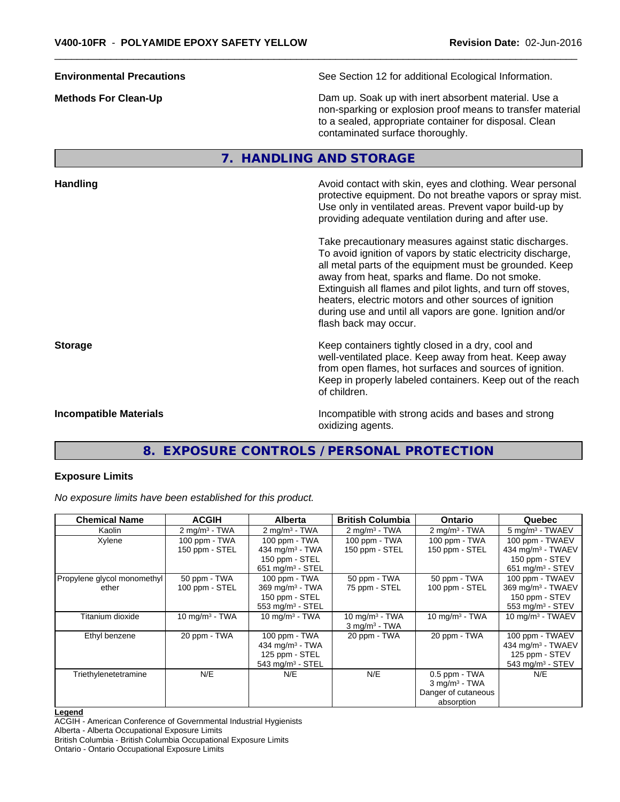**Environmental Precautions** See Section 12 for additional Ecological Information. **Methods For Clean-Up Clean-Up Example 20** Dam up. Soak up with inert absorbent material. Use a non-sparking or explosion proof means to transfer material to a sealed, appropriate container for disposal. Clean contaminated surface thoroughly. **7. HANDLING AND STORAGE Handling Handling Avoid contact with skin, eyes and clothing. Wear personal and results and clothing. Wear personal** protective equipment. Do not breathe vapors or spray mist. Use only in ventilated areas. Prevent vapor build-up by providing adequate ventilation during and after use. Take precautionary measures against static discharges. To avoid ignition of vapors by static electricity discharge, all metal parts of the equipment must be grounded. Keep away from heat, sparks and flame. Do not smoke. Extinguish all flames and pilot lights, and turn off stoves, heaters, electric motors and other sources of ignition during use and until all vapors are gone. Ignition and/or flash back may occur. **Storage Keep containers tightly closed in a dry, cool and <b>Storage Keep** containers tightly closed in a dry, cool and well-ventilated place. Keep away from heat. Keep away

**Incompatible Materials Incompatible with strong acids and bases and strong** oxidizing agents.

from open flames, hot surfaces and sources of ignition. Keep in properly labeled containers. Keep out of the reach

# **8. EXPOSURE CONTROLS / PERSONAL PROTECTION**

of children.

#### **Exposure Limits**

*No exposure limits have been established for this product.*

| <b>Chemical Name</b>        | <b>ACGIH</b>             | <b>Alberta</b>                 | <b>British Columbia</b>     | <b>Ontario</b>              | Quebec                        |
|-----------------------------|--------------------------|--------------------------------|-----------------------------|-----------------------------|-------------------------------|
| Kaolin                      | $2 \text{ mg/m}^3$ - TWA | $2 \text{ mg/m}^3$ - TWA       | $2 \text{ mg/m}^3$ - TWA    | $2 \text{ mg/m}^3$ - TWA    | 5 mg/m <sup>3</sup> - TWAEV   |
| Xylene                      | 100 ppm - TWA            | $100$ ppm $-$ TWA              | 100 ppm - TWA               | 100 ppm - TWA               | 100 ppm - TWAEV               |
|                             | 150 ppm - STEL           | 434 mg/m $3$ - TWA             | 150 ppm - STEL              | 150 ppm - STEL              | 434 mg/m $3$ - TWAEV          |
|                             |                          | 150 ppm - STEL                 |                             |                             | 150 ppm - STEV                |
|                             |                          | 651 mg/m $3 -$ STEL            |                             |                             | 651 mg/m $3 -$ STEV           |
| Propylene glycol monomethyl | 50 ppm - TWA             | 100 ppm - TWA                  | 50 ppm - TWA                | 50 ppm - TWA                | 100 ppm - TWAEV               |
| ether                       | 100 ppm - STEL           | $369$ mg/m <sup>3</sup> - TWA  | 75 ppm - STEL               | 100 ppm - STEL              | 369 mg/m <sup>3</sup> - TWAEV |
|                             |                          | 150 ppm - STEL                 |                             |                             | 150 ppm - STEV                |
|                             |                          | 553 mg/m $3 -$ STEL            |                             |                             | 553 mg/m $3 -$ STEV           |
| Titanium dioxide            | $10$ mg/m $3$ - TWA      | 10 $mq/m3$ - TWA               | 10 $mq/m3$ - TWA            | 10 $mq/m3$ - TWA            | 10 mg/m $3$ - TWAEV           |
|                             |                          |                                | $3$ mg/m <sup>3</sup> - TWA |                             |                               |
| Ethyl benzene               | 20 ppm - TWA             | 100 ppm - TWA                  | 20 ppm - TWA                | 20 ppm - TWA                | 100 ppm - TWAEV               |
|                             |                          | 434 mg/m $3$ - TWA             |                             |                             | 434 mg/m <sup>3</sup> - TWAEV |
|                             |                          | 125 ppm - STEL                 |                             |                             | 125 ppm - STEV                |
|                             |                          | $543$ mg/m <sup>3</sup> - STEL |                             |                             | 543 mg/m <sup>3</sup> - STEV  |
| Triethylenetetramine        | N/E                      | N/E                            | N/E                         | $0.5$ ppm - TWA             | N/E                           |
|                             |                          |                                |                             | $3$ mg/m <sup>3</sup> - TWA |                               |
|                             |                          |                                |                             | Danger of cutaneous         |                               |
|                             |                          |                                |                             | absorption                  |                               |

#### **Legend**

ACGIH - American Conference of Governmental Industrial Hygienists

Alberta - Alberta Occupational Exposure Limits

British Columbia - British Columbia Occupational Exposure Limits

Ontario - Ontario Occupational Exposure Limits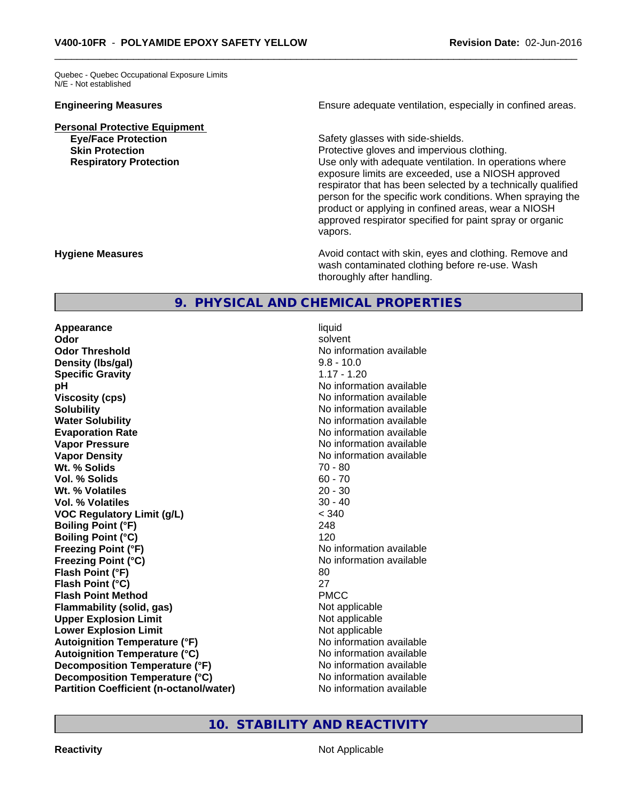Quebec - Quebec Occupational Exposure Limits N/E - Not established

**Personal Protective Equipment**

**Engineering Measures Ensure adequate ventilation, especially in confined areas.** 

**Eye/Face Protection Safety glasses with side-shields. Skin Protection Protection Protective gloves and impervious clothing. Respiratory Protection Exercise 2018** Use only with adequate ventilation. In operations where exposure limits are exceeded, use a NIOSH approved respirator that has been selected by a technically qualified person for the specific work conditions. When spraying the product or applying in confined areas, wear a NIOSH approved respirator specified for paint spray or organic vapors.

**Hygiene Measures Avoid contact with skin, eyes and clothing. Remove and Avoid contact with skin, eyes and clothing. Remove and Avoid contact with skin, eyes and clothing. Remove and** wash contaminated clothing before re-use. Wash thoroughly after handling.

# **9. PHYSICAL AND CHEMICAL PROPERTIES**

**Appearance** liquid **Odor** solvent **Odor Threshold** No information available **Density (Ibs/gal)** 9.8 - 10.0<br> **Specific Gravity** 3.17 - 1.20 **Specific Gravity pH** No information available **Viscosity (cps)** No information available in the Mondon available in the Mondon available in the Mondon available **Solubility No information available No information available Water Solubility Water Solubility No information available Evaporation Rate No information available No information available Vapor Pressure** No information available in the North American Mondo available in the North American American American American American American American American American American American American American American Ame **Vapor Density No information available No information available Wt.** % Solids 70 - 80 **Vol. % Solids** 60 - 70 **Wt. % Volatiles Vol. % Volatiles** 30 - 40 **VOC Regulatory Limit (g/L)** < 340 **Boiling Point (°F)** 248 **Boiling Point (°C)** 120 **Freezing Point (°F)** No information available **Freezing Point (°C)** The state of the Monometer of Noinformation available **Flash Point (°F)** 80 **Flash Point (°C)** 27 **Flash Point Method** PMCC **Flammability (solid, gas)** Not applicable **Upper Explosion Limit** Not applicable **Lower Explosion Limit**<br> **Autoignition Temperature (°F)**<br> **Autoignition Temperature (°F)**<br> **Autoignition Temperature (°F) Autoignition Temperature (°F) Autoignition Temperature (°C)** No information available **Decomposition Temperature** (°F) No information available **Decomposition Temperature (°C)** No information available **Partition Coefficient (n-octanol/water)** No information available

**10. STABILITY AND REACTIVITY**

**Reactivity Not Applicable Not Applicable**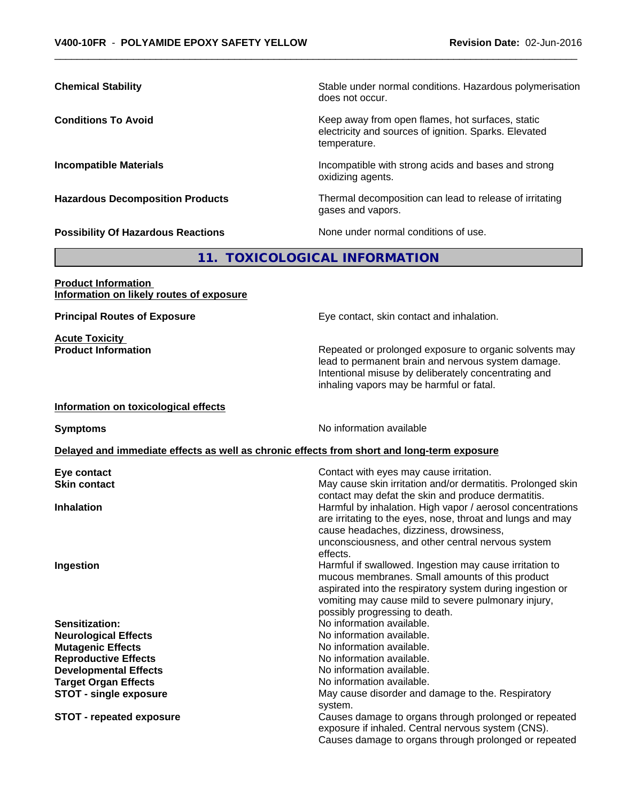exposure if inhaled. Central nervous system (CNS).

Causes damage to organs through prolonged or repeated

| <b>Chemical Stability</b>                                              | Stable under normal conditions. Hazardous polymerisation<br>does not occur.                                                                                                                                                                                                                     |
|------------------------------------------------------------------------|-------------------------------------------------------------------------------------------------------------------------------------------------------------------------------------------------------------------------------------------------------------------------------------------------|
| <b>Conditions To Avoid</b>                                             | Keep away from open flames, hot surfaces, static<br>electricity and sources of ignition. Sparks. Elevated<br>temperature.                                                                                                                                                                       |
| <b>Incompatible Materials</b>                                          | Incompatible with strong acids and bases and strong<br>oxidizing agents.                                                                                                                                                                                                                        |
| <b>Hazardous Decomposition Products</b>                                | Thermal decomposition can lead to release of irritating<br>gases and vapors.                                                                                                                                                                                                                    |
| <b>Possibility Of Hazardous Reactions</b>                              | None under normal conditions of use.                                                                                                                                                                                                                                                            |
|                                                                        | 11. TOXICOLOGICAL INFORMATION                                                                                                                                                                                                                                                                   |
| <b>Product Information</b><br>Information on likely routes of exposure |                                                                                                                                                                                                                                                                                                 |
| <b>Principal Routes of Exposure</b>                                    | Eye contact, skin contact and inhalation.                                                                                                                                                                                                                                                       |
| <b>Acute Toxicity</b><br><b>Product Information</b>                    | Repeated or prolonged exposure to organic solvents may<br>lead to permanent brain and nervous system damage.<br>Intentional misuse by deliberately concentrating and<br>inhaling vapors may be harmful or fatal.                                                                                |
| Information on toxicological effects                                   |                                                                                                                                                                                                                                                                                                 |
| <b>Symptoms</b>                                                        | No information available                                                                                                                                                                                                                                                                        |
|                                                                        | Delayed and immediate effects as well as chronic effects from short and long-term exposure                                                                                                                                                                                                      |
| Eye contact<br><b>Skin contact</b>                                     | Contact with eyes may cause irritation.<br>May cause skin irritation and/or dermatitis. Prolonged skin<br>contact may defat the skin and produce dermatitis.                                                                                                                                    |
| <b>Inhalation</b><br>Ingestion                                         | Harmful by inhalation. High vapor / aerosol concentrations<br>are irritating to the eyes, nose, throat and lungs and may<br>cause headaches, dizziness, drowsiness,<br>unconsciousness, and other central nervous system<br>effects.<br>Harmful if swallowed. Ingestion may cause irritation to |
|                                                                        | mucous membranes. Small amounts of this product<br>aspirated into the respiratory system during ingestion or<br>vomiting may cause mild to severe pulmonary injury,<br>possibly progressing to death.                                                                                           |
| Sensitization:                                                         | No information available.                                                                                                                                                                                                                                                                       |
| <b>Neurological Effects</b>                                            | No information available.                                                                                                                                                                                                                                                                       |
| <b>Mutagenic Effects</b>                                               | No information available.                                                                                                                                                                                                                                                                       |
| <b>Reproductive Effects</b>                                            | No information available.                                                                                                                                                                                                                                                                       |
| <b>Developmental Effects</b>                                           | No information available.                                                                                                                                                                                                                                                                       |
| <b>Target Organ Effects</b>                                            | No information available.                                                                                                                                                                                                                                                                       |
| <b>STOT - single exposure</b>                                          | May cause disorder and damage to the. Respiratory                                                                                                                                                                                                                                               |
| <b>STOT - repeated exposure</b>                                        | system.<br>Causes damage to organs through prolonged or repeated                                                                                                                                                                                                                                |
|                                                                        |                                                                                                                                                                                                                                                                                                 |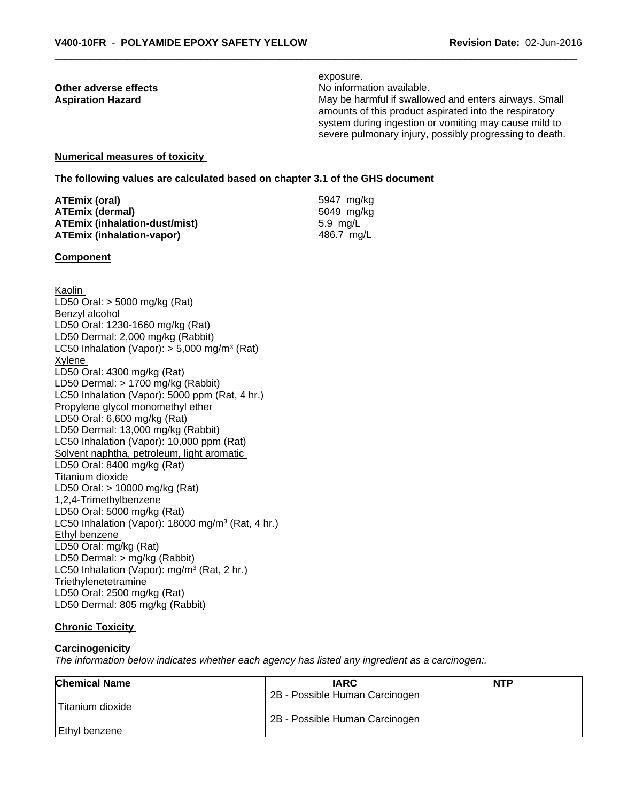exposure. **Other adverse effects** Noinformation available. Aspiration Hazard **Manufary 19 and 19 and 19 and 19 and 19 and 19 and 19 and 19 and 19 and 19 and 19 and 19 and 19 and 19 and 19 and 19 and 19 and 19 and 19 and 19 and 19 and 19 and 19 and 19 and 19 and 19 and 19 and 19 an** amounts of this product aspirated into the respiratory system during ingestion or vomiting may cause mild to severe pulmonary injury, possibly progressing to death.

# **Numerical measures of toxicity**

**The following values are calculated based on chapter 3.1 of the GHS document**

| ATEmix (oral)                 | 5947 mg/ka |
|-------------------------------|------------|
| <b>ATEmix (dermal)</b>        | 5049 mg/kg |
| ATEmix (inhalation-dust/mist) | 5.9 ma/L   |
| ATEmix (inhalation-vapor)     | 486.7 ma/L |

#### **Component**

Kaolin LD50 Oral: > 5000 mg/kg (Rat) Benzyl alcohol LD50 Oral: 1230-1660 mg/kg (Rat) LD50 Dermal: 2,000 mg/kg (Rabbit) LC50 Inhalation (Vapor): > 5,000 mg/m<sup>3</sup> (Rat) Xylene LD50 Oral: 4300 mg/kg (Rat) LD50 Dermal: > 1700 mg/kg (Rabbit) LC50 Inhalation (Vapor): 5000 ppm (Rat, 4 hr.) Propylene glycol monomethyl ether LD50 Oral: 6,600 mg/kg (Rat) LD50 Dermal: 13,000 mg/kg (Rabbit) LC50 Inhalation (Vapor): 10,000 ppm (Rat) Solvent naphtha, petroleum, light aromatic LD50 Oral: 8400 mg/kg (Rat) Titanium dioxide LD50 Oral: > 10000 mg/kg (Rat) 1,2,4-Trimethylbenzene LD50 Oral: 5000 mg/kg (Rat) LC50 Inhalation (Vapor): 18000 mg/m<sup>3</sup> (Rat, 4 hr.) Ethyl benzene LD50 Oral: mg/kg (Rat) LD50 Dermal: > mg/kg (Rabbit) LC50 Inhalation (Vapor): mg/m<sup>3</sup> (Rat, 2 hr.) **Triethylenetetramine** LD50 Oral: 2500 mg/kg (Rat) LD50 Dermal: 805 mg/kg (Rabbit)

### **Chronic Toxicity**

#### **Carcinogenicity**

*The information below indicateswhether each agency has listed any ingredient as a carcinogen:.*

| <b>Chemical Name</b> | <b>IARC</b>                    | <b>NTP</b> |
|----------------------|--------------------------------|------------|
|                      | 2B - Possible Human Carcinogen |            |
| Titanium dioxide     |                                |            |
|                      | 2B - Possible Human Carcinogen |            |
| Ethyl benzene        |                                |            |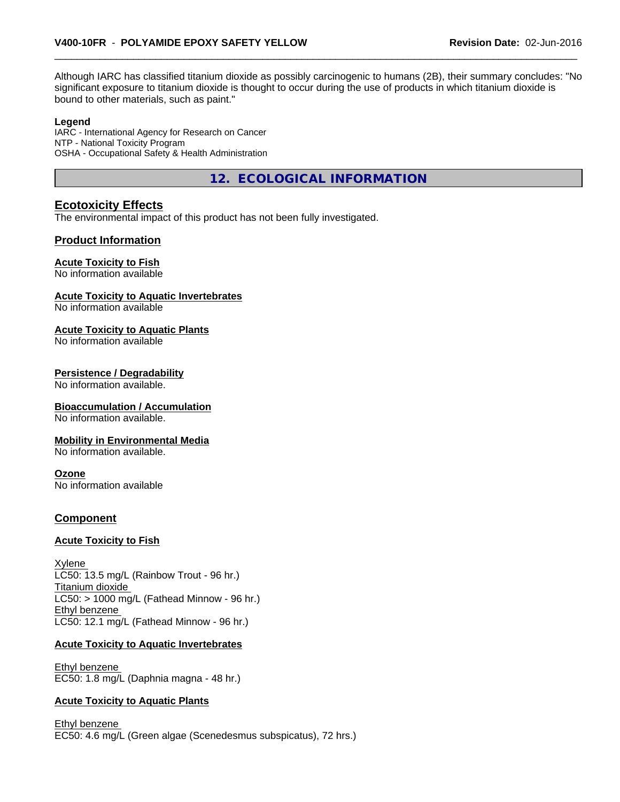Although IARC has classified titanium dioxide as possibly carcinogenic to humans (2B), their summary concludes: "No significant exposure to titanium dioxide is thought to occur during the use of products in which titanium dioxide is bound to other materials, such as paint."

#### **Legend**

IARC - International Agency for Research on Cancer NTP - National Toxicity Program OSHA - Occupational Safety & Health Administration

**12. ECOLOGICAL INFORMATION**

# **Ecotoxicity Effects**

The environmental impact of this product has not been fully investigated.

## **Product Information**

#### **Acute Toxicity to Fish**

No information available

#### **Acute Toxicity to Aquatic Invertebrates**

No information available

#### **Acute Toxicity to Aquatic Plants**

No information available

#### **Persistence / Degradability**

No information available.

#### **Bioaccumulation / Accumulation**

No information available.

#### **Mobility in Environmental Media**

No information available.

#### **Ozone**

No information available

#### **Component**

#### **Acute Toxicity to Fish**

Xylene LC50: 13.5 mg/L (Rainbow Trout - 96 hr.) Titanium dioxide  $LC50:$  > 1000 mg/L (Fathead Minnow - 96 hr.) Ethyl benzene LC50: 12.1 mg/L (Fathead Minnow - 96 hr.)

#### **Acute Toxicity to Aquatic Invertebrates**

Ethyl benzene EC50: 1.8 mg/L (Daphnia magna - 48 hr.)

#### **Acute Toxicity to Aquatic Plants**

Ethyl benzene EC50: 4.6 mg/L (Green algae (Scenedesmus subspicatus), 72 hrs.)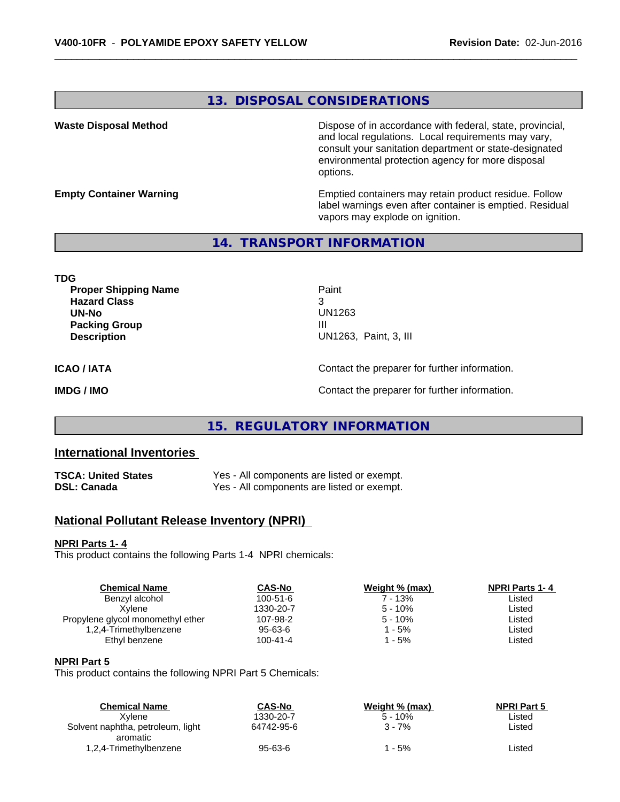# **13. DISPOSAL CONSIDERATIONS**

**Waste Disposal Method Dispose of in accordance with federal, state, provincial,** and local regulations. Local requirements may vary, consult your sanitation department or state-designated environmental protection agency for more disposal options.

**Empty Container Warning <b>Emptied** Containers may retain product residue. Follow label warnings even after container is emptied. Residual vapors may explode on ignition.

# **14. TRANSPORT INFORMATION**

**TDG Proper Shipping Name Paint Hazard Class** 3 **UN-No** UN1263 **Packing Group III Description** UN1263, Paint, 3, III **ICAO / IATA** Contact the preparer for further information. **IMDG / IMO IMO Contact the preparer for further information.** 

# **15. REGULATORY INFORMATION**

# **International Inventories**

| TSCA: United States | Yes - All components are listed or exempt. |
|---------------------|--------------------------------------------|
| DSL: Canada         | Yes - All components are listed or exempt. |

# **National Pollutant Release Inventory (NPRI)**

#### **NPRI Parts 1- 4**

This product contains the following Parts 1-4 NPRI chemicals:

| <b>Chemical Name</b>              | <b>CAS-No</b>  | Weight % (max) | <b>NPRI Parts 1-4</b> |  |
|-----------------------------------|----------------|----------------|-----------------------|--|
| Benzyl alcohol                    | $100 - 51 - 6$ | 7 - 13%        | Listed                |  |
| Xvlene                            | 1330-20-7      | $5 - 10%$      | Listed                |  |
| Propylene glycol monomethyl ether | 107-98-2       | $5 - 10%$      | Listed                |  |
| 1,2,4-Trimethylbenzene            | $95 - 63 - 6$  | $1 - 5%$       | Listed                |  |
| Ethyl benzene                     | $100 - 41 - 4$ | $1 - 5%$       | Listed                |  |
|                                   |                |                |                       |  |

#### **NPRI Part 5**

This product contains the following NPRI Part 5 Chemicals:

| <b>Chemical Name</b>              | <b>CAS-No</b> | Weight % (max) | <b>NPRI Part 5</b> |  |
|-----------------------------------|---------------|----------------|--------------------|--|
| Xvlene                            | 1330-20-7     | $5 - 10%$      | ∟isted             |  |
| Solvent naphtha, petroleum, light | 64742-95-6    | 3 - 7%         | ∟isted             |  |
| aromatic                          |               |                |                    |  |
| 1,2,4-Trimethylbenzene            | $95 - 63 - 6$ | - 5%           | ∟isted             |  |